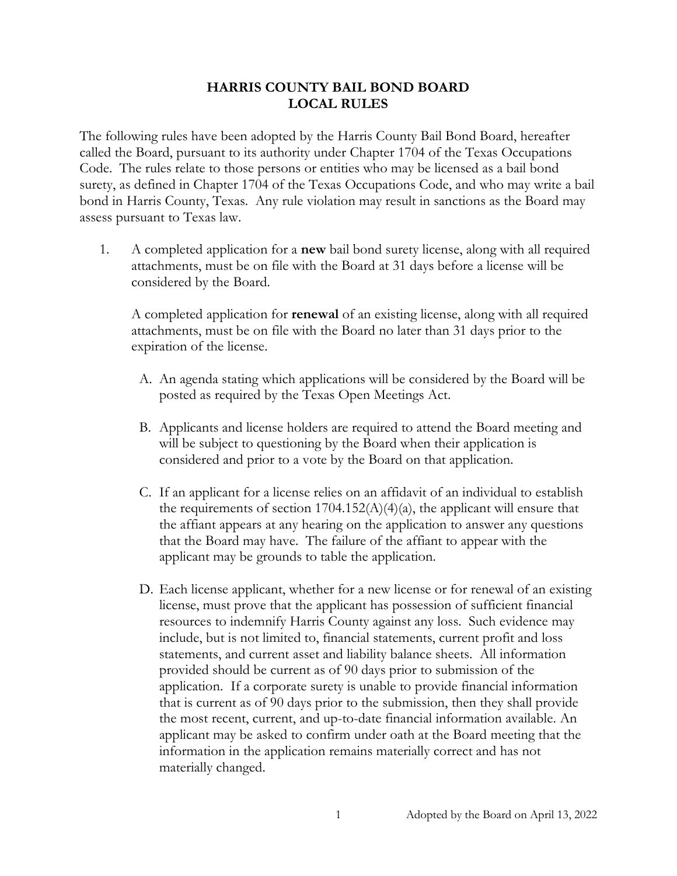## **HARRIS COUNTY BAIL BOND BOARD LOCAL RULES**

The following rules have been adopted by the Harris County Bail Bond Board, hereafter called the Board, pursuant to its authority under Chapter 1704 of the Texas Occupations Code. The rules relate to those persons or entities who may be licensed as a bail bond surety, as defined in Chapter 1704 of the Texas Occupations Code, and who may write a bail bond in Harris County, Texas. Any rule violation may result in sanctions as the Board may assess pursuant to Texas law.

1. A completed application for a **new** bail bond surety license, along with all required attachments, must be on file with the Board at 31 days before a license will be considered by the Board.

A completed application for **renewal** of an existing license, along with all required attachments, must be on file with the Board no later than 31 days prior to the expiration of the license.

- A. An agenda stating which applications will be considered by the Board will be posted as required by the Texas Open Meetings Act.
- B. Applicants and license holders are required to attend the Board meeting and will be subject to questioning by the Board when their application is considered and prior to a vote by the Board on that application.
- C. If an applicant for a license relies on an affidavit of an individual to establish the requirements of section  $1704.152(A)(4)(a)$ , the applicant will ensure that the affiant appears at any hearing on the application to answer any questions that the Board may have. The failure of the affiant to appear with the applicant may be grounds to table the application.
- D. Each license applicant, whether for a new license or for renewal of an existing license, must prove that the applicant has possession of sufficient financial resources to indemnify Harris County against any loss. Such evidence may include, but is not limited to, financial statements, current profit and loss statements, and current asset and liability balance sheets. All information provided should be current as of 90 days prior to submission of the application. If a corporate surety is unable to provide financial information that is current as of 90 days prior to the submission, then they shall provide the most recent, current, and up-to-date financial information available. An applicant may be asked to confirm under oath at the Board meeting that the information in the application remains materially correct and has not materially changed.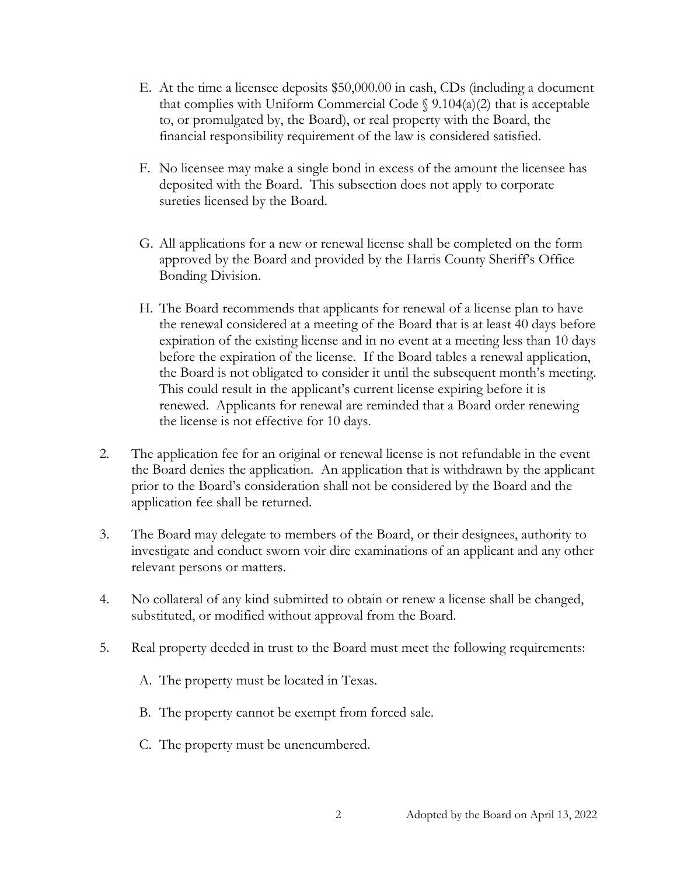- E. At the time a licensee deposits \$50,000.00 in cash, CDs (including a document that complies with Uniform Commercial Code  $\S$  9.104(a)(2) that is acceptable to, or promulgated by, the Board), or real property with the Board, the financial responsibility requirement of the law is considered satisfied.
- F. No licensee may make a single bond in excess of the amount the licensee has deposited with the Board. This subsection does not apply to corporate sureties licensed by the Board.
- G. All applications for a new or renewal license shall be completed on the form approved by the Board and provided by the Harris County Sheriff's Office Bonding Division.
- H. The Board recommends that applicants for renewal of a license plan to have the renewal considered at a meeting of the Board that is at least 40 days before expiration of the existing license and in no event at a meeting less than 10 days before the expiration of the license. If the Board tables a renewal application, the Board is not obligated to consider it until the subsequent month's meeting. This could result in the applicant's current license expiring before it is renewed. Applicants for renewal are reminded that a Board order renewing the license is not effective for 10 days.
- 2. The application fee for an original or renewal license is not refundable in the event the Board denies the application. An application that is withdrawn by the applicant prior to the Board's consideration shall not be considered by the Board and the application fee shall be returned.
- 3. The Board may delegate to members of the Board, or their designees, authority to investigate and conduct sworn voir dire examinations of an applicant and any other relevant persons or matters.
- 4. No collateral of any kind submitted to obtain or renew a license shall be changed, substituted, or modified without approval from the Board.
- 5. Real property deeded in trust to the Board must meet the following requirements:
	- A. The property must be located in Texas.
	- B. The property cannot be exempt from forced sale.
	- C. The property must be unencumbered.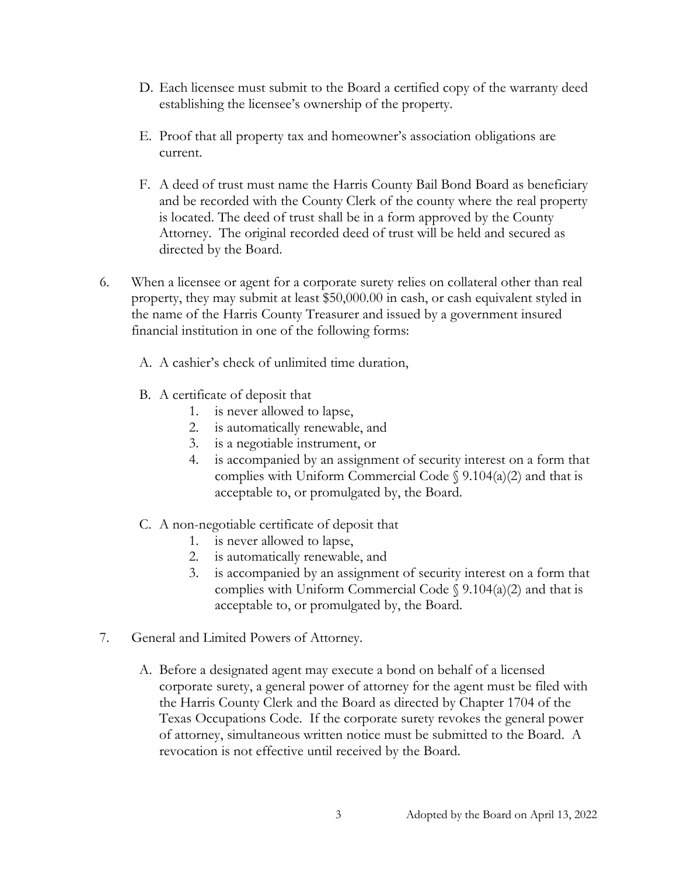- D. Each licensee must submit to the Board a certified copy of the warranty deed establishing the licensee's ownership of the property.
- E. Proof that all property tax and homeowner's association obligations are current.
- F. A deed of trust must name the Harris County Bail Bond Board as beneficiary and be recorded with the County Clerk of the county where the real property is located. The deed of trust shall be in a form approved by the County Attorney. The original recorded deed of trust will be held and secured as directed by the Board.
- 6. When a licensee or agent for a corporate surety relies on collateral other than real property, they may submit at least \$50,000.00 in cash, or cash equivalent styled in the name of the Harris County Treasurer and issued by a government insured financial institution in one of the following forms:
	- A. A cashier's check of unlimited time duration,
	- B. A certificate of deposit that
		- 1. is never allowed to lapse,
		- 2. is automatically renewable, and
		- 3. is a negotiable instrument, or
		- 4. is accompanied by an assignment of security interest on a form that complies with Uniform Commercial Code  $\S$  9.104(a)(2) and that is acceptable to, or promulgated by, the Board.
	- C. A non-negotiable certificate of deposit that
		- 1. is never allowed to lapse,
		- 2. is automatically renewable, and
		- 3. is accompanied by an assignment of security interest on a form that complies with Uniform Commercial Code  $\S$  9.104(a)(2) and that is acceptable to, or promulgated by, the Board.
- 7. General and Limited Powers of Attorney.
	- A. Before a designated agent may execute a bond on behalf of a licensed corporate surety, a general power of attorney for the agent must be filed with the Harris County Clerk and the Board as directed by Chapter 1704 of the Texas Occupations Code. If the corporate surety revokes the general power of attorney, simultaneous written notice must be submitted to the Board. A revocation is not effective until received by the Board.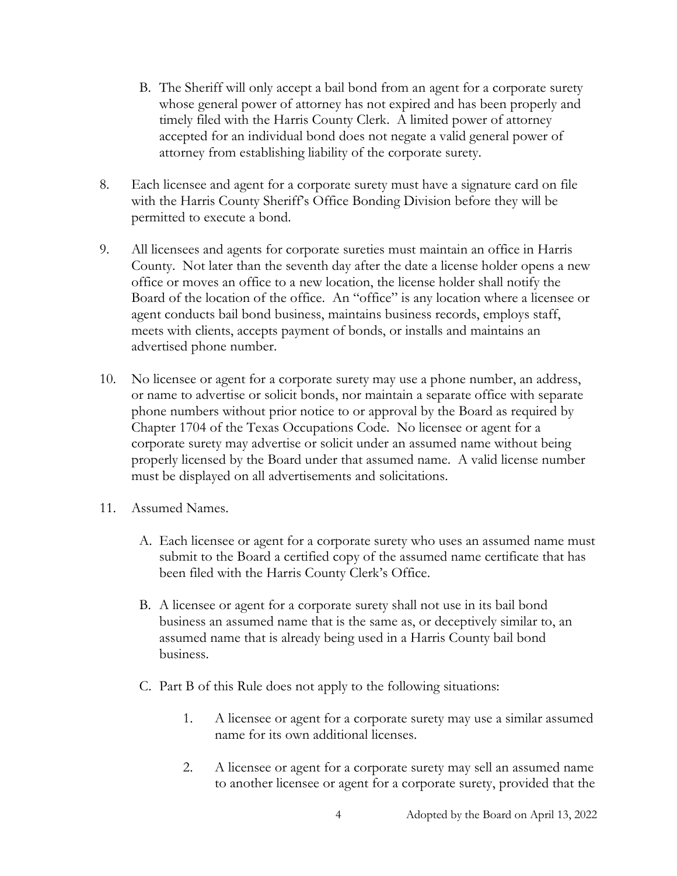- B. The Sheriff will only accept a bail bond from an agent for a corporate surety whose general power of attorney has not expired and has been properly and timely filed with the Harris County Clerk. A limited power of attorney accepted for an individual bond does not negate a valid general power of attorney from establishing liability of the corporate surety.
- 8. Each licensee and agent for a corporate surety must have a signature card on file with the Harris County Sheriff's Office Bonding Division before they will be permitted to execute a bond.
- 9. All licensees and agents for corporate sureties must maintain an office in Harris County. Not later than the seventh day after the date a license holder opens a new office or moves an office to a new location, the license holder shall notify the Board of the location of the office. An "office" is any location where a licensee or agent conducts bail bond business, maintains business records, employs staff, meets with clients, accepts payment of bonds, or installs and maintains an advertised phone number.
- 10. No licensee or agent for a corporate surety may use a phone number, an address, or name to advertise or solicit bonds, nor maintain a separate office with separate phone numbers without prior notice to or approval by the Board as required by Chapter 1704 of the Texas Occupations Code. No licensee or agent for a corporate surety may advertise or solicit under an assumed name without being properly licensed by the Board under that assumed name. A valid license number must be displayed on all advertisements and solicitations.
- 11. Assumed Names.
	- A. Each licensee or agent for a corporate surety who uses an assumed name must submit to the Board a certified copy of the assumed name certificate that has been filed with the Harris County Clerk's Office.
	- B. A licensee or agent for a corporate surety shall not use in its bail bond business an assumed name that is the same as, or deceptively similar to, an assumed name that is already being used in a Harris County bail bond business.
	- C. Part B of this Rule does not apply to the following situations:
		- 1. A licensee or agent for a corporate surety may use a similar assumed name for its own additional licenses.
		- 2. A licensee or agent for a corporate surety may sell an assumed name to another licensee or agent for a corporate surety, provided that the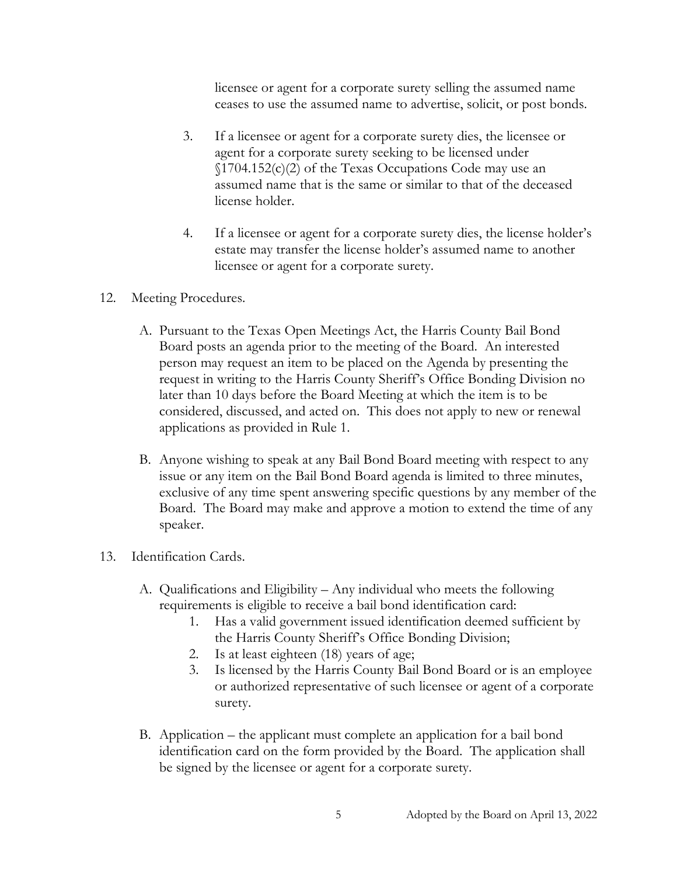licensee or agent for a corporate surety selling the assumed name ceases to use the assumed name to advertise, solicit, or post bonds.

- 3. If a licensee or agent for a corporate surety dies, the licensee or agent for a corporate surety seeking to be licensed under  $\{(1704.152(c)(2) \text{ of the Texas Occasionally Code may use an } \mathbb{Z}\})$ assumed name that is the same or similar to that of the deceased license holder.
- 4. If a licensee or agent for a corporate surety dies, the license holder's estate may transfer the license holder's assumed name to another licensee or agent for a corporate surety.
- 12. Meeting Procedures.
	- A. Pursuant to the Texas Open Meetings Act, the Harris County Bail Bond Board posts an agenda prior to the meeting of the Board. An interested person may request an item to be placed on the Agenda by presenting the request in writing to the Harris County Sheriff's Office Bonding Division no later than 10 days before the Board Meeting at which the item is to be considered, discussed, and acted on. This does not apply to new or renewal applications as provided in Rule 1.
	- B. Anyone wishing to speak at any Bail Bond Board meeting with respect to any issue or any item on the Bail Bond Board agenda is limited to three minutes, exclusive of any time spent answering specific questions by any member of the Board. The Board may make and approve a motion to extend the time of any speaker.
- 13. Identification Cards.
	- A. Qualifications and Eligibility Any individual who meets the following requirements is eligible to receive a bail bond identification card:
		- 1. Has a valid government issued identification deemed sufficient by the Harris County Sheriff's Office Bonding Division;
		- 2. Is at least eighteen (18) years of age;
		- 3. Is licensed by the Harris County Bail Bond Board or is an employee or authorized representative of such licensee or agent of a corporate surety.
	- B. Application the applicant must complete an application for a bail bond identification card on the form provided by the Board. The application shall be signed by the licensee or agent for a corporate surety.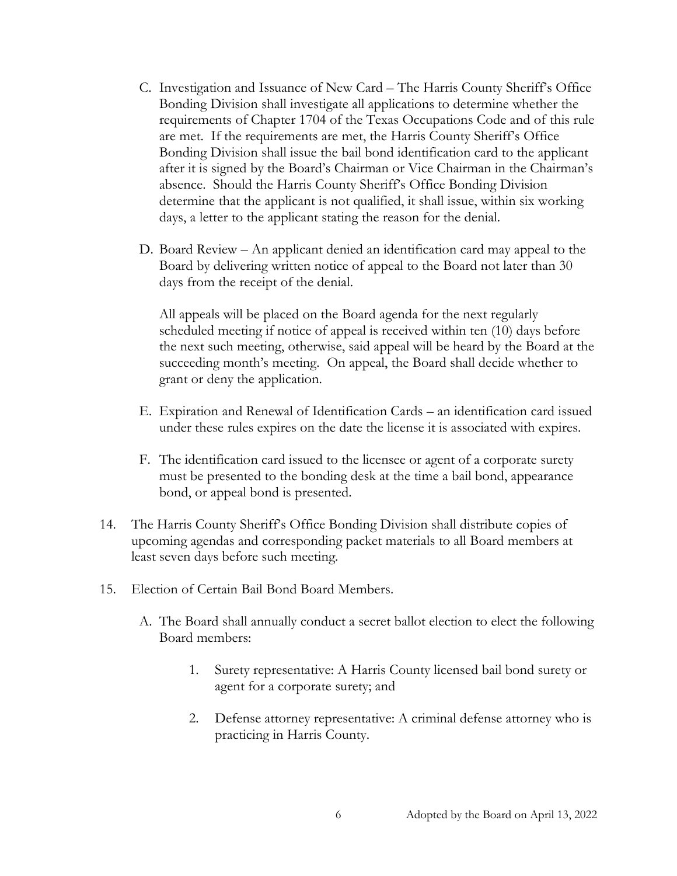- C. Investigation and Issuance of New Card The Harris County Sheriff's Office Bonding Division shall investigate all applications to determine whether the requirements of Chapter 1704 of the Texas Occupations Code and of this rule are met. If the requirements are met, the Harris County Sheriff's Office Bonding Division shall issue the bail bond identification card to the applicant after it is signed by the Board's Chairman or Vice Chairman in the Chairman's absence. Should the Harris County Sheriff's Office Bonding Division determine that the applicant is not qualified, it shall issue, within six working days, a letter to the applicant stating the reason for the denial.
- D. Board Review An applicant denied an identification card may appeal to the Board by delivering written notice of appeal to the Board not later than 30 days from the receipt of the denial.

All appeals will be placed on the Board agenda for the next regularly scheduled meeting if notice of appeal is received within ten (10) days before the next such meeting, otherwise, said appeal will be heard by the Board at the succeeding month's meeting. On appeal, the Board shall decide whether to grant or deny the application.

- E. Expiration and Renewal of Identification Cards an identification card issued under these rules expires on the date the license it is associated with expires.
- F. The identification card issued to the licensee or agent of a corporate surety must be presented to the bonding desk at the time a bail bond, appearance bond, or appeal bond is presented.
- 14. The Harris County Sheriff's Office Bonding Division shall distribute copies of upcoming agendas and corresponding packet materials to all Board members at least seven days before such meeting.
- 15. Election of Certain Bail Bond Board Members.
	- A. The Board shall annually conduct a secret ballot election to elect the following Board members:
		- 1. Surety representative: A Harris County licensed bail bond surety or agent for a corporate surety; and
		- 2. Defense attorney representative: A criminal defense attorney who is practicing in Harris County.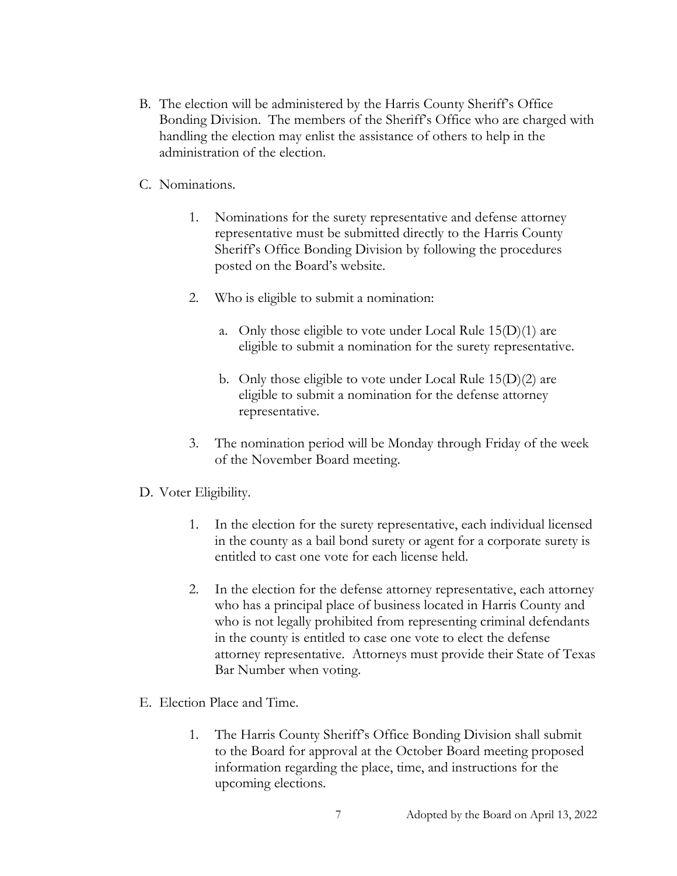- B. The election will be administered by the Harris County Sheriff's Office Bonding Division. The members of the Sheriff's Office who are charged with handling the election may enlist the assistance of others to help in the administration of the election.
- C. Nominations.
	- 1. Nominations for the surety representative and defense attorney representative must be submitted directly to the Harris County Sheriff's Office Bonding Division by following the procedures posted on the Board's website.
	- 2. Who is eligible to submit a nomination:
		- a. Only those eligible to vote under Local Rule  $15(D)(1)$  are eligible to submit a nomination for the surety representative.
		- b. Only those eligible to vote under Local Rule 15(D)(2) are eligible to submit a nomination for the defense attorney representative.
	- 3. The nomination period will be Monday through Friday of the week of the November Board meeting.

## D. Voter Eligibility.

- 1. In the election for the surety representative, each individual licensed in the county as a bail bond surety or agent for a corporate surety is entitled to cast one vote for each license held.
- 2. In the election for the defense attorney representative, each attorney who has a principal place of business located in Harris County and who is not legally prohibited from representing criminal defendants in the county is entitled to case one vote to elect the defense attorney representative. Attorneys must provide their State of Texas Bar Number when voting.
- E. Election Place and Time.
	- 1. The Harris County Sheriff's Office Bonding Division shall submit to the Board for approval at the October Board meeting proposed information regarding the place, time, and instructions for the upcoming elections.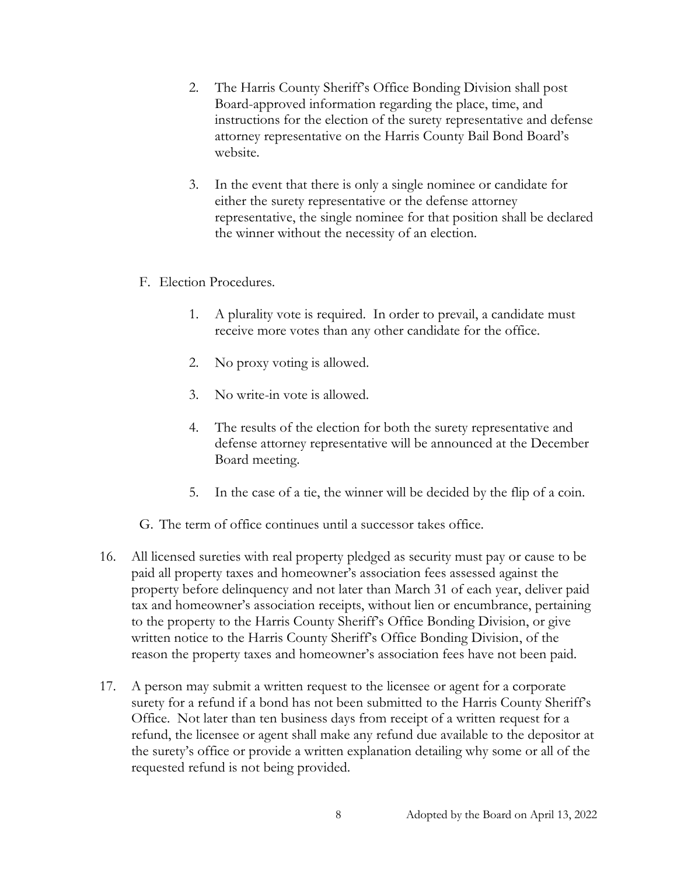- 2. The Harris County Sheriff's Office Bonding Division shall post Board-approved information regarding the place, time, and instructions for the election of the surety representative and defense attorney representative on the Harris County Bail Bond Board's website.
- 3. In the event that there is only a single nominee or candidate for either the surety representative or the defense attorney representative, the single nominee for that position shall be declared the winner without the necessity of an election.
- F. Election Procedures.
	- 1. A plurality vote is required. In order to prevail, a candidate must receive more votes than any other candidate for the office.
	- 2. No proxy voting is allowed.
	- 3. No write-in vote is allowed.
	- 4. The results of the election for both the surety representative and defense attorney representative will be announced at the December Board meeting.
	- 5. In the case of a tie, the winner will be decided by the flip of a coin.
- G. The term of office continues until a successor takes office.
- 16. All licensed sureties with real property pledged as security must pay or cause to be paid all property taxes and homeowner's association fees assessed against the property before delinquency and not later than March 31 of each year, deliver paid tax and homeowner's association receipts, without lien or encumbrance, pertaining to the property to the Harris County Sheriff's Office Bonding Division, or give written notice to the Harris County Sheriff's Office Bonding Division, of the reason the property taxes and homeowner's association fees have not been paid.
- 17. A person may submit a written request to the licensee or agent for a corporate surety for a refund if a bond has not been submitted to the Harris County Sheriff's Office. Not later than ten business days from receipt of a written request for a refund, the licensee or agent shall make any refund due available to the depositor at the surety's office or provide a written explanation detailing why some or all of the requested refund is not being provided.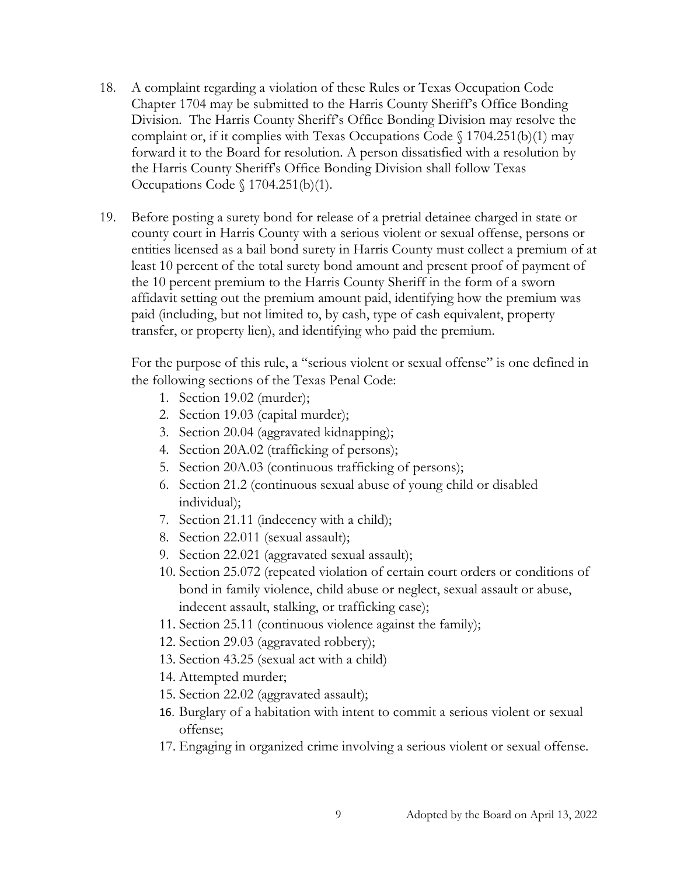- 18. A complaint regarding a violation of these Rules or Texas Occupation Code Chapter 1704 may be submitted to the Harris County Sheriff's Office Bonding Division. The Harris County Sheriff's Office Bonding Division may resolve the complaint or, if it complies with Texas Occupations Code  $\S$  1704.251(b)(1) may forward it to the Board for resolution. A person dissatisfied with a resolution by the Harris County Sheriff's Office Bonding Division shall follow Texas Occupations Code § 1704.251(b)(1).
- 19. Before posting a surety bond for release of a pretrial detainee charged in state or county court in Harris County with a serious violent or sexual offense, persons or entities licensed as a bail bond surety in Harris County must collect a premium of at least 10 percent of the total surety bond amount and present proof of payment of the 10 percent premium to the Harris County Sheriff in the form of a sworn affidavit setting out the premium amount paid, identifying how the premium was paid (including, but not limited to, by cash, type of cash equivalent, property transfer, or property lien), and identifying who paid the premium.

For the purpose of this rule, a "serious violent or sexual offense" is one defined in the following sections of the Texas Penal Code:

- 1. Section 19.02 (murder);
- 2. Section 19.03 (capital murder);
- 3. Section 20.04 (aggravated kidnapping);
- 4. Section 20A.02 (trafficking of persons);
- 5. Section 20A.03 (continuous trafficking of persons);
- 6. Section 21.2 (continuous sexual abuse of young child or disabled individual);
- 7. Section 21.11 (indecency with a child);
- 8. Section 22.011 (sexual assault);
- 9. Section 22.021 (aggravated sexual assault);
- 10. Section 25.072 (repeated violation of certain court orders or conditions of bond in family violence, child abuse or neglect, sexual assault or abuse, indecent assault, stalking, or trafficking case);
- 11. Section 25.11 (continuous violence against the family);
- 12. Section 29.03 (aggravated robbery);
- 13. Section 43.25 (sexual act with a child)
- 14. Attempted murder;
- 15. Section 22.02 (aggravated assault);
- 16. Burglary of a habitation with intent to commit a serious violent or sexual offense;
- 17. Engaging in organized crime involving a serious violent or sexual offense.